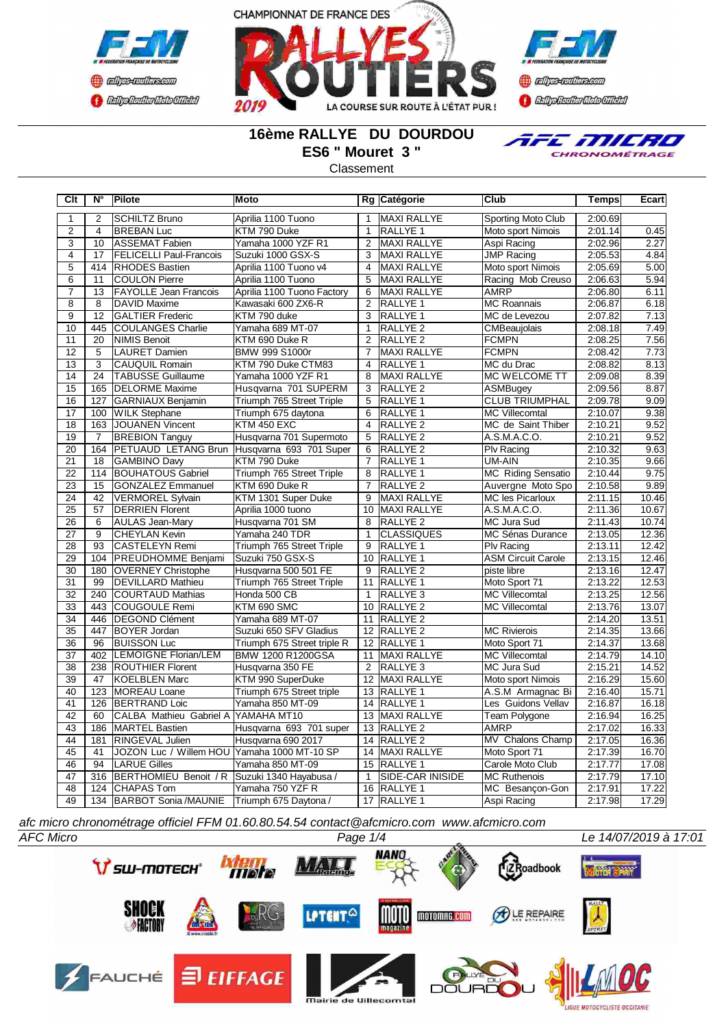





### **16ème RALLYE DU DOURDOU ES6 " Mouret 3 "**

**Classement** 

**Clt N° Pilote Moto Rg Catégorie Club Temps Ecart**



1 2 SCHILTZ Bruno Aprilia 1100 Tuono 1 MAXI RALLYE Sporting Moto Club 2:00.69 2 4 BREBAN Luc KTM 790 Duke 1 RALLYE 1 Moto sport Nimois 2:01.14 0.45 3 10 ASSEMAT Fabien Yamaha 1000 YZF R1 2 MAXI RALLYE Aspi Racing 2:02.96 2.27 4 | 17 | FELICELLI Paul-Francois | Suzuki 1000 GSX-S | 3 | MAXI RALLYE | JMP Racing | 2:05.53 | 4.84 5 414 RHODES Bastien | Aprilia 1100 Tuono v4 | 4 MAXI RALLYE | Moto sport Nimois | 2:05.69 5.00 6 11 COULON Pierre Aprilia 1100 Tuono 5 MAXI RALLYE Racing Mob Creuso 2:06.63 5.94 7 13 FAYOLLE Jean Francois Aprilia 1100 Tuono Factory 6 MAXI RALLYE AMRP 2:06.80 6.11 8 8 DAVID Maxime Kawasaki 600 ZX6-R 2 RALLYE 1 MC Roannais 2:06.87 6.18 GALTIER Frederic 10 445 COULANGES Charlie Yamaha 689 MT-07 1 RALLYE 2 CMBeaujolais 2:08.18 7.49 20 NIMIS Benoit KTM 690 Duke R 2 12 5 LAURET Damien BMW 999 S1000r 7 MAXI RALLYE FCMPN 2:08.42 7.73 13 3 CAUQUIL Romain KTM 790 Duke CTM83 4 RALLYE 1 MC du Drac 2:08.82 8.13 14 24 TABUSSE Guillaume Yamaha 1000 YZF R1 8 MAXI RALLYE MC WELCOME TT 2:09.08 8.39 15 165 DELORME Maxime Husqvarna 701 SUPERM 3 RALLYE 2 ASMBugey 2:09.56 8.87<br>16 127 GARNIAUX Benjamin Triumph 765 Street Triple 5 RALLYE 1 CLUB TRIUMPHAL 2:09.78 9.09 16 127 GARNIAUX Benjamin Triumph 765 Street Triple 5 RALLYE 1 CLUB TRIUMPHAL 2:09.78 9.09 17 | 100 WILK Stephane | Triumph 675 daytona | 6 | RALLYE 1 | MC Villecomtal | 2:10.07 | 9.38<br>18 | 163 JOUANEN Vincent | KTM 450 EXC | 4 | RALLYE 2 | MC de Saint Thiber | 2:10.21 | 9.52 18 163 JOUANEN Vincent KTM 450 EXC 4 RALLYE 2 MC de Saint Thiber 19 7 BREBION Tanguy Husqvarna 701 Supermoto 5 RALLYE 2 A.S.M.A.C.O. 2:10.21 9.52<br>20 1164 PETUAUD LETANG Brun Husqvarna 693 701 Super 6 RALLYE 2 PIv Racing 2:10.32 9.63 164 PETUAUD LETANG Brun Husqyarna 693 701 Super 6 21 18 GAMBINO Davy KTM 790 Duke 7 RALLYE 1 UM-AIN 2:10.35 9.66<br>22 114 BOUHATOUS Gabriel Triumph 765 Street Triple 8 RALLYE 1 MC Riding Sensatio 2:10.44 9.75 114 BOUHATOUS Gabriel Triumph 765 Street Triple 8 23 15 GONZALEZ Emmanuel KTM 690 Duke R 7 RALLYE 2 Auvergne Moto Spo 2:10.58 9.89<br>24 42 VERMOREL Sylvain KTM 1301 Super Duke 9 MAXI RALLYE MC les Picarloux 2:11.15 10.46 22 VERMOREL Sylvain KTM 1301 Super Duke 9 MAXI RALLYE MC les Picarloux 2:11.15 10.46 25 57 DERRIEN Florent Aprilia 1000 tuono 10 MAXI RALLYE A.S.M.A.C.O. 2:11.36 10.67

| 26 | 6   | AULAS Jean-Mary              | Husqvarna 701 SM            | 8  | <b>IRALLYE 2</b>    | MC Jura Sud               | 2:11.43 | 10.74 |
|----|-----|------------------------------|-----------------------------|----|---------------------|---------------------------|---------|-------|
| 27 | 9   | <b>ICHEYLAN Kevin</b>        | Yamaha 240 TDR              |    | <b>ICLASSIQUES</b>  | MC Sénas Durance          | 2:13.05 | 12.36 |
| 28 | 93  | <b>ICASTELEYN Remi</b>       | Triumph 765 Street Triple   | 9  | <b>RALLYE 1</b>     | <b>Plv Racing</b>         | 2:13.11 | 12.42 |
| 29 | 104 | <b>PREUDHOMME Benjami</b>    | İSuzuki 750 GSX-S           | 10 | <b>RALLYE 1</b>     | <b>ASM Circuit Carole</b> | 2:13.15 | 12.46 |
| 30 | 180 | <b>OVERNEY Christophe</b>    | Husqvarna 500 501 FE        | 9  | <b>RALLYE 2</b>     | piste libre               | 2:13.16 | 12.47 |
| 31 | 99  | <b>DEVILLARD Mathieu</b>     | Triumph 765 Street Triple   | 11 | <b>IRALLYE 1</b>    | Moto Sport 71             | 2:13.22 | 12.53 |
| 32 | 240 | <b>ICOURTAUD Mathias</b>     | Honda 500 CB                |    | <b>RALLYE 3</b>     | <b>MC Villecomtal</b>     | 2:13.25 | 12.56 |
| 33 | 443 | COUGOULE Remi                | KTM 690 SMC                 | 10 | <b>RALLYE 2</b>     | <b>MC Villecomtal</b>     | 2:13.76 | 13.07 |
| 34 | 446 | <b>IDEGOND Clément</b>       | Yamaha 689 MT-07            | 11 | <b>RALLYE 2</b>     |                           | 2:14.20 | 13.51 |
| 35 | 447 | <b>BOYER Jordan</b>          | Suzuki 650 SFV Gladius      | 12 | <b>RALLYE 2</b>     | <b>MC Rivierois</b>       | 2:14.35 | 13.66 |
| 36 | 96  | <b>BUISSON Luc</b>           | Triumph 675 Street triple R | 12 | <b>RALLYE 1</b>     | Moto Sport 71             | 2:14.37 | 13.68 |
| 37 | 402 | <b>ILEMOIGNE Florian/LEM</b> | IBMW 1200 R1200GSA          | 11 | <b>MAXI RALLYE</b>  | <b>MC Villecomtal</b>     | 2:14.79 | 14.10 |
| 38 | 238 | <b>ROUTHIER Florent</b>      | Husqvarna 350 FE            |    | <b>RALLYE 3</b>     | MC Jura Sud               | 2:15.21 | 14.52 |
| 39 | 47  | <b>IKOELBLEN Marc</b>        | KTM 990 SuperDuke           | 12 | <b>MAXI RALLYE</b>  | Moto sport Nimois         | 2:16.29 | 15.60 |
| 40 | 123 | <b>IMOREAU Loane</b>         | Triumph 675 Street triple   | 13 | <b>RALLYE 1</b>     | A.S.M Armagnac Bi         | 2:16.40 | 15.71 |
| 41 | 126 | <b>IBERTRAND Loic</b>        | Yamaha 850 MT-09            | 14 | <b>RALLYE 1</b>     | Les Guidons Vellav        | 2:16.87 | 16.18 |
| 42 | 60  | CALBA Mathieu Gabriel A      | YAMAHA MT10                 | 13 | <b>MAXI RALLYE</b>  | Team Polygone             | 2:16.94 | 16.25 |
| 43 | 186 | <b>MARTEL Bastien</b>        | Husqvarna 693 701 super     | 13 | <b>RALLYE 2</b>     | <b>AMRP</b>               | 2:17.02 | 16.33 |
| 44 | 181 | <b>RINGEVAL Julien</b>       | Husqvarna 690 2017          | 14 | RALLYE <sub>2</sub> | MV Chalons Champ          | 2:17.05 | 16.36 |
| 45 | 41  | JOZON Luc / Willem HOU       | Yamaha 1000 MT-10 SP        | 14 | <b>MAXI RALLYE</b>  | Moto Sport 71             | 2:17.39 | 16.70 |
| 46 | 94  | <b>LARUE Gilles</b>          | Yamaha 850 MT-09            | 15 | <b>IRALLYE 1</b>    | Carole Moto Club          | 2:17.77 | 17.08 |
| 47 | 316 | BERTHOMIEU Benoit / R        | Suzuki 1340 Hayabusa /      |    | ISIDE-CAR INISIDE   | <b>MC Ruthenois</b>       | 2:17.79 | 17.10 |
| 48 | 124 | <b>ICHAPAS Tom</b>           | Yamaha 750 YZF R            | 16 | <b>RALLYE 1</b>     | MC Besançon-Gon           | 2:17.91 | 17.22 |
| 49 | 134 | BARBOT Sonia /MAUNIE         | Triumph 675 Daytona /       | 17 | <b>IRALLYE 1</b>    | Aspi Racing               | 2:17.98 | 17.29 |

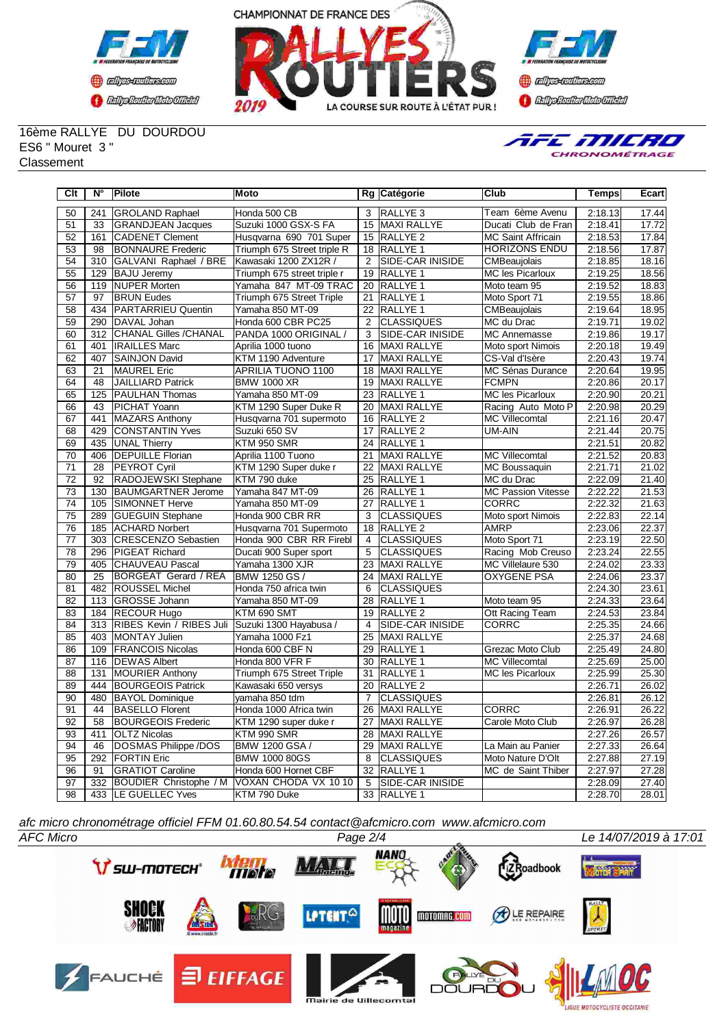



**Confederation Complementation** 

#### 16ème RALLYE DU DOURDOU ES6 " Mouret 3 " **Classement**

TFE MILRO CHRONOMÉTRAGE

| Clt             | $\overline{\mathsf{N}^{\circ}}$ | <b>Pilote</b>                 | <b>Moto</b>                 |                 | Rg Catégorie            | Club                      | Temps   | Ecart |
|-----------------|---------------------------------|-------------------------------|-----------------------------|-----------------|-------------------------|---------------------------|---------|-------|
| 50              | 241                             | <b>GROLAND Raphael</b>        | Honda 500 CB                | 3               | RALLYE <sub>3</sub>     | Team 6ème Avenu           | 2:18.13 | 17.44 |
| 51              | 33                              | <b>GRANDJEAN Jacques</b>      | Suzuki 1000 GSX-S FA        |                 | 15 MAXI RALLYE          | Ducati Club de Fran       | 2:18.41 | 17.72 |
| 52              | 161                             | <b>CADENET Clement</b>        | Husqvarna 690 701 Super     |                 | 15 RALLYE 2             | <b>MC Saint Affricain</b> | 2:18.53 | 17.84 |
| 53              | 98                              | <b>BONNAURE</b> Frederic      | Triumph 675 Street triple R | 18              | <b>RALLYE 1</b>         | <b>HORIZONS ENDU</b>      | 2:18.56 | 17.87 |
| $\overline{54}$ | $\overline{310}$                | GALVANI Raphael / BRE         | Kawasaki 1200 ZX12R /       | $\overline{2}$  | <b>SIDE-CAR INISIDE</b> | CMBeaujolais              | 2:18.85 | 18.16 |
| 55              | 129                             | <b>BAJU Jeremy</b>            | Triumph 675 street triple r | 19              | <b>RALLYE 1</b>         | MC les Picarloux          | 2:19.25 | 18.56 |
| 56              | 119                             | <b>NUPER Morten</b>           | Yamaha 847 MT-09 TRAC       | 20              | RALLYE 1                | Moto team 95              | 2:19.52 | 18.83 |
| 57              | 97                              | <b>BRUN Eudes</b>             | Triumph 675 Street Triple   | 21              | RALLYE <sub>1</sub>     | Moto Sport 71             | 2:19.55 | 18.86 |
| 58              | 434                             | <b>PARTARRIEU Quentin</b>     | Yamaha 850 MT-09            | 22              | RALLYE 1                | CMBeaujolais              | 2:19.64 | 18.95 |
| 59              | 290                             | DAVAL Johan                   | Honda 600 CBR PC25          | $\overline{2}$  | <b>CLASSIQUES</b>       | MC du Drac                | 2:19.71 | 19.02 |
| 60              | 312                             | CHANAL Gilles /CHANAL         | PANDA 1000 ORIGINAL /       | 3               | SIDE-CAR INISIDE        | <b>MC</b> Annemasse       | 2:19.86 | 19.17 |
| 61              | 401                             | <b>IRAILLES Marc</b>          | Aprilia 1000 tuono          | 16              | <b>MAXI RALLYE</b>      | Moto sport Nimois         | 2:20.18 | 19.49 |
| 62              | 407                             | <b>SAINJON David</b>          | KTM 1190 Adventure          | 17              | <b>MAXI RALLYE</b>      | CS-Val d'Isère            | 2:20.43 | 19.74 |
| 63              | 21                              | <b>MAUREL Eric</b>            | APRILIA TUONO 1100          | 18              | MAXI RALLYE             | MC Sénas Durance          | 2:20.64 | 19.95 |
| 64              | 48                              | <b>JAILLIARD Patrick</b>      | <b>BMW 1000 XR</b>          | 19              | <b>MAXI RALLYE</b>      | <b>FCMPN</b>              | 2:20.86 | 20.17 |
| 65              | 125                             | <b>PAULHAN Thomas</b>         | Yamaha 850 MT-09            | 23              | RALLYE 1                | <b>MC les Picarloux</b>   | 2:20.90 | 20.21 |
| 66              | 43                              | PICHAT Yoann                  | KTM 1290 Super Duke R       | 20              | MAXI RALLYE             | Racing Auto Moto P        | 2:20.98 | 20.29 |
| 67              | 441                             | <b>MAZARS Anthony</b>         | Husqvarna 701 supermoto     | 16              | <b>RALLYE 2</b>         | <b>MC Villecomtal</b>     | 2:21.16 | 20.47 |
| $\overline{68}$ | 429                             | <b>CONSTANTIN Yves</b>        | Suzuki 650 SV               | $\overline{17}$ | <b>RALLYE 2</b>         | UM-AIN                    | 2:21.44 | 20.75 |
| 69              | 435                             | <b>UNAL Thierry</b>           | KTM 950 SMR                 | $\overline{24}$ | <b>RALLYE 1</b>         |                           | 2:21.51 | 20.82 |
| 70              | 406                             | <b>DEPUILLE Florian</b>       | Aprilia 1100 Tuono          | 21              | <b>MAXI RALLYE</b>      | <b>MC Villecomtal</b>     | 2:21.52 | 20.83 |
| $\overline{71}$ | $\overline{28}$                 | <b>PEYROT Cyril</b>           | KTM 1290 Super duke r       | 22              | <b>MAXI RALLYE</b>      | MC Boussaquin             | 2:21.71 | 21.02 |
| 72              | 92                              | RADOJEWSKI Stephane           | KTM 790 duke                | 25              | <b>RALLYE 1</b>         | MC du Drac                | 2:22.09 | 21.40 |
| 73              | 130                             | <b>BAUMGARTNER Jerome</b>     | Yamaha 847 MT-09            | 26              | <b>RALLYE 1</b>         | <b>MC Passion Vitesse</b> | 2:22.22 | 21.53 |
| 74              | 105                             | SIMONNET Herve                | Yamaha 850 MT-09            | 27              | <b>RALLYE 1</b>         | <b>CORRC</b>              | 2:22.32 | 21.63 |
| $\overline{75}$ | 289                             | <b>GUEGUIN Stephane</b>       | Honda 900 CBR RR            | 3               | <b>CLASSIQUES</b>       | Moto sport Nimois         | 2:22.83 | 22.14 |
| $\overline{76}$ | 185                             | <b>ACHARD Norbert</b>         | Husqvarna 701 Supermoto     | 18              | <b>RALLYE 2</b>         | <b>AMRP</b>               | 2:23.06 | 22.37 |
| $\overline{77}$ | 303                             | <b>CRESCENZO Sebastien</b>    | Honda 900 CBR RR Firebl     | $\overline{4}$  | <b>CLASSIQUES</b>       | Moto Sport 71             | 2:23.19 | 22.50 |
| $\overline{78}$ | 296                             | PIGEAT Richard                | Ducati 900 Super sport      | $\overline{5}$  | <b>CLASSIQUES</b>       | Racing Mob Creuso         | 2:23.24 | 22.55 |
| 79              | 405                             | CHAUVEAU Pascal               | Yamaha 1300 XJR             | 23              | MAXI RALLYE             | MC Villelaure 530         | 2:24.02 | 23.33 |
| 80              | 25                              | <b>BORGEAT Gerard / REA</b>   | BMW 1250 GS /               | 24              | <b>MAXI RALLYE</b>      | <b>OXYGENE PSA</b>        | 2:24.06 | 23.37 |
| 81              | 482                             | <b>ROUSSEL Michel</b>         | Honda 750 africa twin       | 6               | <b>CLASSIQUES</b>       |                           | 2:24.30 | 23.61 |
| 82              | 113                             | GROSSE Johann                 | Yamaha 850 MT-09            | 28              | <b>IRALLYE 1</b>        | Moto team 95              | 2:24.33 | 23.64 |
| 83              |                                 | 184 RECOUR Hugo               | KTM 690 SMT                 | 19              | RALLYE <sub>2</sub>     | Ott Racing Team           | 2:24.53 | 23.84 |
| 84              | 313                             | RIBES Kevin / RIBES Juli      | Suzuki 1300 Hayabusa /      | $\overline{4}$  | <b>SIDE-CAR INISIDE</b> | <b>CORRC</b>              | 2:25.35 | 24.66 |
| 85              |                                 | 403 MONTAY Julien             | Yamaha 1000 Fz1             | 25              | <b>MAXI RALLYE</b>      |                           | 2:25.37 | 24.68 |
| 86              | 109                             | <b>FRANCOIS Nicolas</b>       | Honda 600 CBF N             | 29              | <b>RALLYE 1</b>         | Grezac Moto Club          | 2:25.49 | 24.80 |
| 87              |                                 | 116   DEWAS Albert            | Honda 800 VFR F             | 30              | RALLYE 1                | <b>MC Villecomtal</b>     | 2:25.69 | 25.00 |
| 88              | 131                             | <b>MOURIER Anthony</b>        | Triumph 675 Street Triple   | 31              | RALLYE <sub>1</sub>     | MC les Picarloux          | 2:25.99 | 25.30 |
| 89              | 444                             | <b>BOURGEOIS Patrick</b>      | Kawasaki 650 versys         | $\overline{20}$ | RALLYE <sub>2</sub>     |                           | 2:26.71 | 26.02 |
| 90              | 480                             | <b>BAYOL Dominique</b>        | yamaha 850 tdm              | $\overline{7}$  | <b>CLASSIQUES</b>       |                           | 2:26.81 | 26.12 |
| $\overline{91}$ | $\overline{44}$                 | <b>BASELLO Florent</b>        | Honda 1000 Africa twin      | 26              | <b>MAXI RALLYE</b>      | <b>CORRC</b>              | 2:26.91 | 26.22 |
| 92              | 58                              | <b>BOURGEOIS Frederic</b>     | KTM 1290 super duke r       | 27              | <b>MAXI RALLYE</b>      | Carole Moto Club          | 2:26.97 | 26.28 |
| 93              | 411                             | <b>OLTZ Nicolas</b>           | KTM 990 SMR                 | 28              | <b>MAXI RALLYE</b>      |                           | 2:27.26 | 26.57 |
| 94              | 46                              | DOSMAS Philippe /DOS          | BMW 1200 GSA /              | 29              | <b>MAXI RALLYE</b>      | La Main au Panier         | 2:27.33 | 26.64 |
| 95              | 292                             | <b>FORTIN Eric</b>            | <b>BMW 1000 80GS</b>        | 8               | <b>CLASSIQUES</b>       | Moto Nature D'Olt         | 2:27.88 | 27.19 |
| 96              | 91                              | <b>GRATIOT Caroline</b>       | Honda 600 Hornet CBF        | $\overline{32}$ | RALLYE 1                | MC de Saint Thiber        | 2:27.97 | 27.28 |
| 97              | 332                             | <b>BOUDIER Christophe / M</b> | VOXAN CHODA VX 1010         | $\overline{5}$  | <b>SIDE-CAR INISIDE</b> |                           | 2:28.09 | 27.40 |
| $\overline{98}$ |                                 | 433 ILE GUELLEC Yves          | KTM 790 Duke                |                 | 33 RALLYE 1             |                           | 2:28.70 | 28.01 |

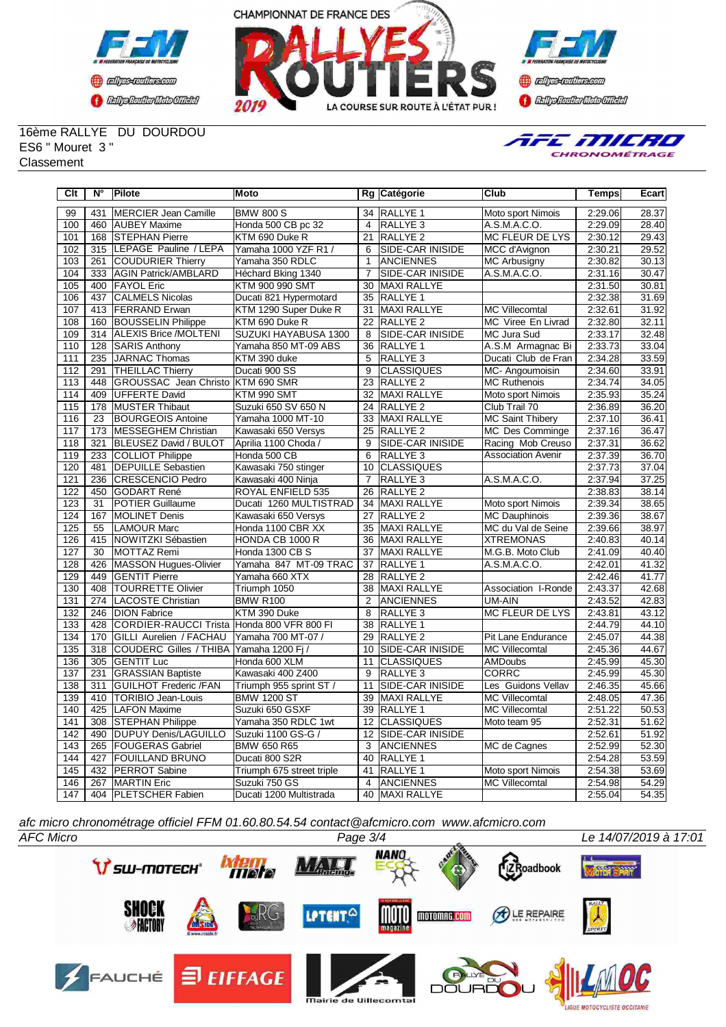



**Constant Communication CENTRAL MEDICATE** 

16ème RALLYE DU DOURDOU ES6 " Mouret 3 " **Classement** 



| Clt              | N°  | <b>Pilote</b>                | Moto                      |                 | Rg Catégorie            | Club                      | <b>Temps</b> | Ecart |
|------------------|-----|------------------------------|---------------------------|-----------------|-------------------------|---------------------------|--------------|-------|
| 99               | 431 | <b>MERCIER Jean Camille</b>  | <b>BMW 800 S</b>          | 34              | <b>RALLYE 1</b>         | Moto sport Nimois         | 2:29.06      | 28.37 |
| 100              | 460 | <b>AUBEY Maxime</b>          | Honda 500 CB pc 32        | $\overline{4}$  | <b>RALLYE 3</b>         | A.S.M.A.C.O.              | 2:29.09      | 28.40 |
| 101              | 168 | <b>STEPHAN Pierre</b>        | KTM 690 Duke R            | $\overline{21}$ | <b>RALLYE 2</b>         | <b>MC FLEUR DE LYS</b>    | 2:30.12      | 29.43 |
| 102              | 315 | LEPAGE Pauline / LEPA        | Yamaha 1000 YZF R1 /      | 6               | SIDE-CAR INISIDE        | MCC d'Avignon             | 2:30.21      | 29.52 |
| 103              | 261 | <b>COUDURIER Thierry</b>     | Yamaha 350 RDLC           | $\mathbf{1}$    | <b>ANCIENNES</b>        | <b>MC Arbusigny</b>       | 2:30.82      | 30.13 |
| 104              | 333 | <b>AGIN Patrick/AMBLARD</b>  | Héchard Bking 1340        | $\overline{7}$  | SIDE-CAR INISIDE        | A.S.M.A.C.O.              | 2:31.16      | 30.47 |
| 105              | 400 | <b>FAYOL Eric</b>            | KTM 900 990 SMT           | $\overline{30}$ | MAXI RALLYE             |                           | 2:31.50      | 30.81 |
| 106              | 437 | <b>CALMELS Nicolas</b>       | Ducati 821 Hypermotard    | $\overline{35}$ | <b>RALLYE 1</b>         |                           | 2:32.38      | 31.69 |
| 107              | 413 | <b>FERRAND</b> Erwan         | KTM 1290 Super Duke R     | 31              | <b>MAXI RALLYE</b>      | <b>MC Villecomtal</b>     | 2:32.61      | 31.92 |
| 108              | 160 | <b>BOUSSELIN Philippe</b>    | KTM 690 Duke R            | $\overline{22}$ | <b>RALLYE 2</b>         | MC Viree En Livrad        | 2:32.80      | 32.11 |
| 109              |     | 314 ALEXIS Brice /MOLTENI    | SUZUKI HAYABUSA 1300      | 8               | <b>SIDE-CAR INISIDE</b> | MC Jura Sud               | 2:33.17      | 32.48 |
| 110              | 128 | <b>SARIS Anthony</b>         | Yamaha 850 MT-09 ABS      | 36              | <b>RALLYE 1</b>         | A.S.M Armagnac Bi         | 2:33.73      | 33.04 |
| 111              | 235 | JARNAC Thomas                | KTM 390 duke              | 5               | <b>RALLYE 3</b>         | Ducati Club de Fran       | 2:34.28      | 33.59 |
| 112              | 291 | <b>THEILLAC Thierry</b>      | Ducati 900 SS             | 9               | <b>CLASSIQUES</b>       | MC-Angoumoisin            | 2:34.60      | 33.91 |
| 113              | 448 | GROUSSAC Jean Christo        | KTM 690 SMR               | 23              | <b>RALLYE 2</b>         | <b>MC Ruthenois</b>       | 2:34.74      | 34.05 |
| 114              | 409 | UFFERTE David                | KTM 990 SMT               | 32              | MAXI RALLYE             | Moto sport Nimois         | 2:35.93      | 35.24 |
| 115              | 178 | <b>MUSTER Thibaut</b>        | Suzuki 650 SV 650 N       | 24              | RALLYE <sub>2</sub>     | Club Trail 70             | 2:36.89      | 36.20 |
| 116              | 23  | <b>BOURGEOIS Antoine</b>     | Yamaha 1000 MT-10         | 33              | <b>MAXI RALLYE</b>      | <b>MC Saint Thibery</b>   | 2:37.10      | 36.41 |
| 117              | 173 | <b>IMESSEGHEM Christian</b>  | Kawasaki 650 Versys       | 25              | <b>RALLYE 2</b>         | MC Des Comminge           | 2:37.16      | 36.47 |
| 118              | 321 | <b>BLEUSEZ David / BULOT</b> | Aprilia 1100 Choda /      | 9               | <b>SIDE-CAR INISIDE</b> | Racing Mob Creuso         | 2:37.31      | 36.62 |
| 119              | 233 | <b>COLLIOT Philippe</b>      | Honda 500 CB              | 6               | RALLYE <sub>3</sub>     | <b>Association Avenir</b> | 2:37.39      | 36.70 |
| 120              | 481 | <b>DEPUILLE</b> Sebastien    | Kawasaki 750 stinger      | 10              | <b>CLASSIQUES</b>       |                           | 2:37.73      | 37.04 |
| 121              | 236 | <b>CRESCENCIO Pedro</b>      | Kawasaki 400 Ninja        | $\overline{7}$  | RALLYE <sub>3</sub>     | A.S.M.A.C.O.              | 2:37.94      | 37.25 |
| 122              | 450 | <b>I</b> GODART René         | ROYAL ENFIELD 535         | 26              | <b>RALLYE 2</b>         |                           | 2:38.83      | 38.14 |
| 123              | 31  | <b>IPOTIER Guillaume</b>     | Ducati 1260 MULTISTRAD    | 34              | <b>MAXI RALLYE</b>      | Moto sport Nimois         | 2:39.34      | 38.65 |
| 124              | 167 | MOLINET Denis                | Kawasaki 650 Versys       | 27              | RALLYE <sub>2</sub>     | <b>MC Dauphinois</b>      | 2:39.36      | 38.67 |
| 125              | 55  | <b>LAMOUR Marc</b>           | Honda 1100 CBR XX         | 35              | <b>MAXI RALLYE</b>      | MC du Val de Seine        | 2:39.66      | 38.97 |
| 126              | 415 | NOWITZKI Sébastien           | HONDA CB 1000 R           | 36              | MAXI RALLYE             | <b>XTREMONAS</b>          | 2:40.83      | 40.14 |
| 127              | 30  | MOTTAZ Remi                  | Honda 1300 CB S           | 37              | <b>MAXI RALLYE</b>      | M.G.B. Moto Club          | 2:41.09      | 40.40 |
| 128              | 426 | MASSON Hugues-Olivier        | Yamaha 847 MT-09 TRAC     | 37              | <b>RALLYE 1</b>         | A.S.M.A.C.O.              | 2:42.01      | 41.32 |
| 129              | 449 | <b>GENTIT Pierre</b>         | Yamaha 660 XTX            | 28              | RALLYE <sub>2</sub>     |                           | 2:42.46      | 41.77 |
| 130              | 408 | TOURRETTE Olivier            | Triumph 1050              | 38              | <b>MAXI RALLYE</b>      | Association I-Ronde       | 2:43.37      | 42.68 |
| 131              | 274 | LACOSTE Christian            | <b>BMW R100</b>           | 2               | <b>ANCIENNES</b>        | UM-AIN                    | 2:43.52      | 42.83 |
| 132              | 246 | <b>DION Fabrice</b>          | KTM 390 Duke              | 8               | RALLYE <sub>3</sub>     | MC FLEUR DE LYS           | 2:43.81      | 43.12 |
| 133              | 428 | <b>CORDIER-RAUCCI Trista</b> | Honda 800 VFR 800 FI      | 38              | <b>RALLYE 1</b>         |                           | 2:44.79      | 44.10 |
| 134              | 170 | GILLI Aurelien / FACHAU      | Yamaha 700 MT-07 /        | 29              | <b>RALLYE 2</b>         | Pit Lane Endurance        | 2:45.07      | 44.38 |
| 135              |     | 318 COUDERC Gilles / THIBA   | Yamaha 1200 Fi /          | 10              | SIDE-CAR INISIDE        | <b>MC Villecomtal</b>     | 2:45.36      | 44.67 |
| 136              | 305 | <b>GENTIT Luc</b>            | Honda 600 XLM             | 11              | <b>CLASSIQUES</b>       | <b>AMDoubs</b>            | 2:45.99      | 45.30 |
| 137              | 231 | <b>GRASSIAN Baptiste</b>     | Kawasaki 400 Z400         | $\overline{9}$  | RALLYE <sub>3</sub>     | <b>CORRC</b>              | 2:45.99      | 45.30 |
| 138              | 311 | <b>GUILHOT Frederic /FAN</b> | Triumph 955 sprint ST /   | 11              | <b>SIDE-CAR INISIDE</b> | Les Guidons Vellav        | 2:46.35      | 45.66 |
| 139              | 410 | <b>TORIBIO Jean-Louis</b>    | <b>BMW 1200 ST</b>        | 39              | MAXI RALLYE             | <b>MC Villecomtal</b>     | 2:48.05      | 47.36 |
| 140              | 425 | <b>LAFON Maxime</b>          | Suzuki 650 GSXF           | 39              | <b>RALLYE 1</b>         | <b>MC Villecomtal</b>     | 2:51.22      | 50.53 |
| 141              | 308 | <b>STEPHAN Philippe</b>      | Yamaha 350 RDLC 1wt       | 12              | <b>CLASSIQUES</b>       | Moto team 95              | 2:52.31      | 51.62 |
| 142              | 490 | DUPUY Denis/LAGUILLO         | Suzuki 1100 GS-G /        | 12              | SIDE-CAR INISIDE        |                           | 2:52.61      | 51.92 |
| $\overline{143}$ | 265 | <b>FOUGERAS Gabriel</b>      | <b>BMW 650 R65</b>        | 3               | <b>ANCIENNES</b>        | MC de Cagnes              | 2:52.99      | 52.30 |
| 144              | 427 | <b>FOUILLAND BRUNO</b>       | Ducati 800 S2R            | 40              | <b>IRALLYE 1</b>        |                           | 2:54.28      | 53.59 |
| 145              | 432 | <b>IPERROT Sabine</b>        | Triumph 675 street triple | 41              | RALLYE 1                | Moto sport Nimois         | 2:54.38      | 53.69 |
| 146              | 267 | <b>MARTIN</b> Eric           | Suzuki 750 GS             | 4               | <b>ANCIENNES</b>        | <b>MC Villecomtal</b>     | 2:54.98      | 54.29 |
| 147              |     | 404   PLETSCHER Fabien       | Ducati 1200 Multistrada   |                 | 40 MAXI RALLYE          |                           | 2:55.04      | 54.35 |